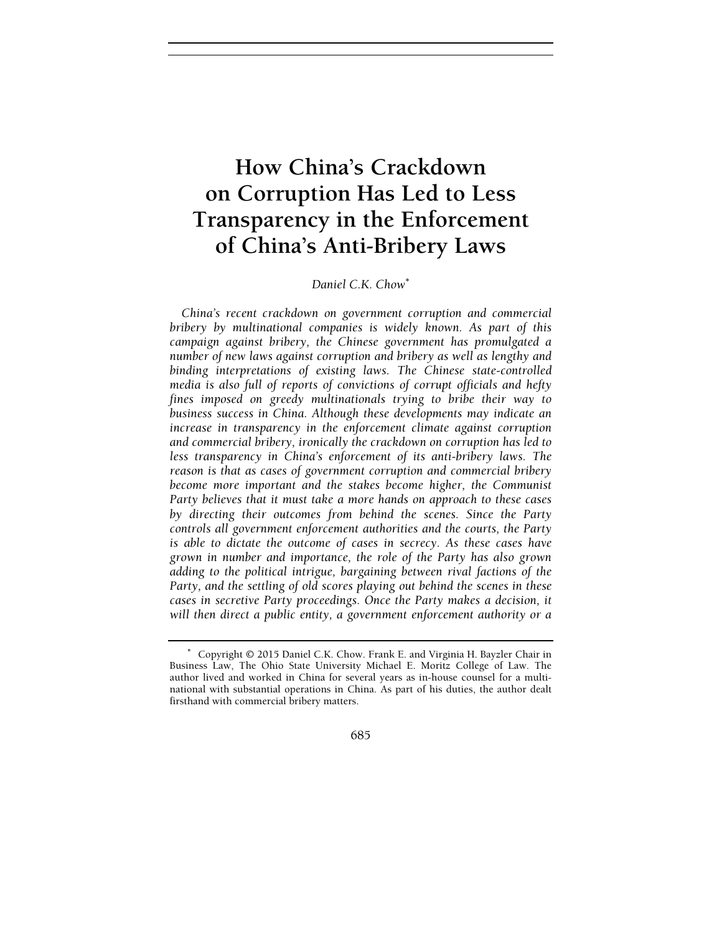# How China's Crackdown on Corruption Has Led to Less Transparency in the Enforcement of China's Anti-Bribery Laws

Daniel C.K. Chow<sup>\*</sup>

China's recent crackdown on government corruption and commercial bribery by multinational companies is widely known. As part of this campaign against bribery, the Chinese government has promulgated a number of new laws against corruption and bribery as well as lengthy and binding interpretations of existing laws. The Chinese state-controlled media is also full of reports of convictions of corrupt officials and hefty fines imposed on greedy multinationals trying to bribe their way to business success in China. Although these developments may indicate an increase in transparency in the enforcement climate against corruption and commercial bribery, ironically the crackdown on corruption has led to less transparency in China's enforcement of its anti-bribery laws. The reason is that as cases of government corruption and commercial bribery become more important and the stakes become higher, the Communist Party believes that it must take a more hands on approach to these cases by directing their outcomes from behind the scenes. Since the Party controls all government enforcement authorities and the courts, the Party is able to dictate the outcome of cases in secrecy. As these cases have grown in number and importance, the role of the Party has also grown adding to the political intrigue, bargaining between rival factions of the Party, and the settling of old scores playing out behind the scenes in these cases in secretive Party proceedings. Once the Party makes a decision, it will then direct a public entity, a government enforcement authority or a

685

<sup>∗</sup> Copyright © 2015 Daniel C.K. Chow. Frank E. and Virginia H. Bayzler Chair in Business Law, The Ohio State University Michael E. Moritz College of Law. The author lived and worked in China for several years as in-house counsel for a multinational with substantial operations in China. As part of his duties, the author dealt firsthand with commercial bribery matters.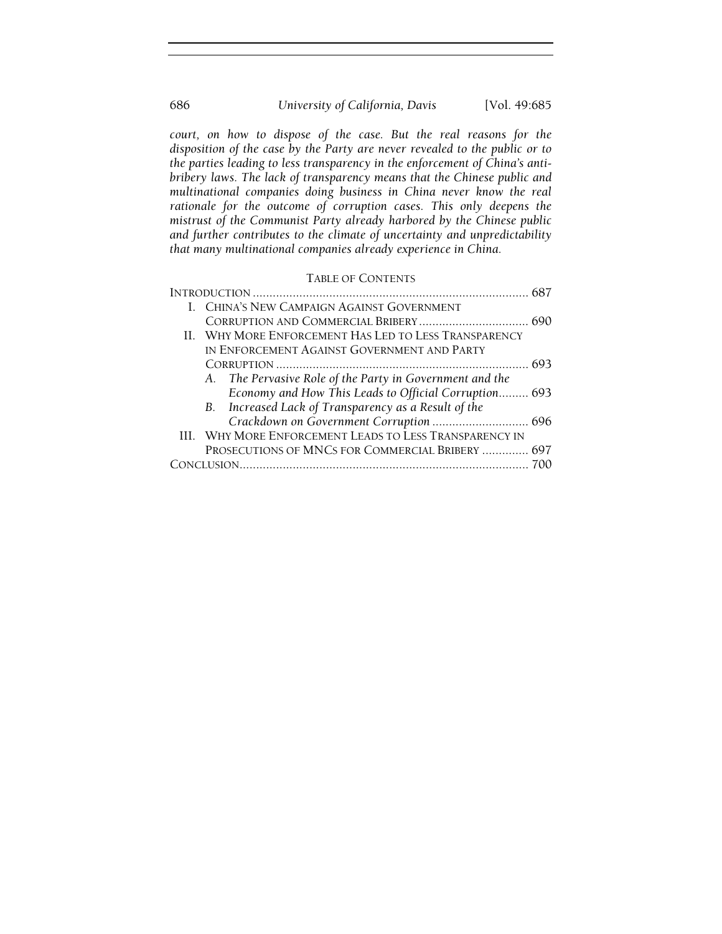## 686 University of California, Davis [Vol. 49:685

court, on how to dispose of the case. But the real reasons for the disposition of the case by the Party are never revealed to the public or to the parties leading to less transparency in the enforcement of China's antibribery laws. The lack of transparency means that the Chinese public and multinational companies doing business in China never know the real rationale for the outcome of corruption cases. This only deepens the mistrust of the Communist Party already harbored by the Chinese public and further contributes to the climate of uncertainty and unpredictability that many multinational companies already experience in China.

## TABLE OF CONTENTS

| I. CHINA'S NEW CAMPAIGN AGAINST GOVERNMENT               |                                         |
|----------------------------------------------------------|-----------------------------------------|
|                                                          |                                         |
| II. WHY MORE ENFORCEMENT HAS LED TO LESS TRANSPARENCY    |                                         |
| IN ENFORCEMENT AGAINST GOVERNMENT AND PARTY              |                                         |
|                                                          |                                         |
| A. The Pervasive Role of the Party in Government and the |                                         |
| Economy and How This Leads to Official Corruption 693    |                                         |
| B. Increased Lack of Transparency as a Result of the     |                                         |
|                                                          |                                         |
| III. WHY MORE ENFORCEMENT LEADS TO LESS TRANSPARENCY IN  |                                         |
| PROSECUTIONS OF MNCS FOR COMMERCIAL BRIBERY  697         |                                         |
|                                                          |                                         |
|                                                          | Crackdown on Government Corruption  696 |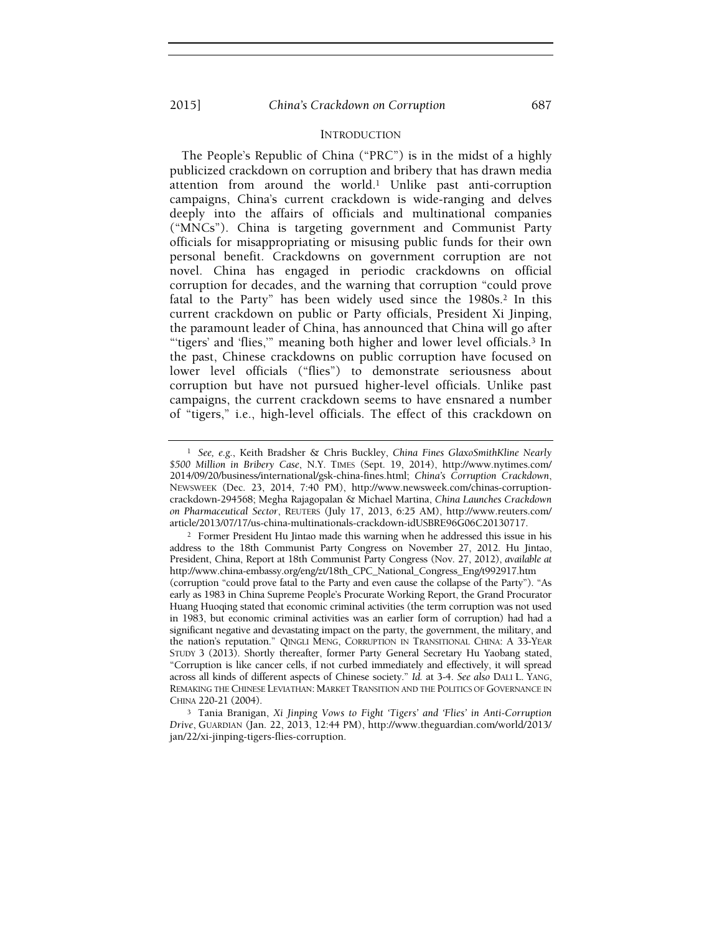#### INTRODUCTION

The People's Republic of China ("PRC") is in the midst of a highly publicized crackdown on corruption and bribery that has drawn media attention from around the world.1 Unlike past anti-corruption campaigns, China's current crackdown is wide-ranging and delves deeply into the affairs of officials and multinational companies ("MNCs"). China is targeting government and Communist Party officials for misappropriating or misusing public funds for their own personal benefit. Crackdowns on government corruption are not novel. China has engaged in periodic crackdowns on official corruption for decades, and the warning that corruption "could prove fatal to the Party" has been widely used since the 1980s.<sup>2</sup> In this current crackdown on public or Party officials, President Xi Jinping, the paramount leader of China, has announced that China will go after "'tigers' and 'flies,'" meaning both higher and lower level officials.3 In the past, Chinese crackdowns on public corruption have focused on lower level officials ("flies") to demonstrate seriousness about corruption but have not pursued higher-level officials. Unlike past campaigns, the current crackdown seems to have ensnared a number of "tigers," i.e., high-level officials. The effect of this crackdown on

<sup>1</sup> See, e.g., Keith Bradsher & Chris Buckley, China Fines GlaxoSmithKline Nearly \$500 Million in Bribery Case, N.Y. TIMES (Sept. 19, 2014), http://www.nytimes.com/ 2014/09/20/business/international/gsk-china-fines.html; China's Corruption Crackdown, NEWSWEEK (Dec. 23, 2014, 7:40 PM), http://www.newsweek.com/chinas-corruptioncrackdown-294568; Megha Rajagopalan & Michael Martina, China Launches Crackdown on Pharmaceutical Sector, REUTERS (July 17, 2013, 6:25 AM), http://www.reuters.com/ article/2013/07/17/us-china-multinationals-crackdown-idUSBRE96G06C20130717.

<sup>2</sup> Former President Hu Jintao made this warning when he addressed this issue in his address to the 18th Communist Party Congress on November 27, 2012. Hu Jintao, President, China, Report at 18th Communist Party Congress (Nov. 27, 2012), available at http://www.china-embassy.org/eng/zt/18th\_CPC\_National\_Congress\_Eng/t992917.htm (corruption "could prove fatal to the Party and even cause the collapse of the Party"). "As early as 1983 in China Supreme People's Procurate Working Report, the Grand Procurator Huang Huoqing stated that economic criminal activities (the term corruption was not used in 1983, but economic criminal activities was an earlier form of corruption) had had a significant negative and devastating impact on the party, the government, the military, and the nation's reputation." QINGLI MENG, CORRUPTION IN TRANSITIONAL CHINA: A 33-YEAR STUDY 3 (2013). Shortly thereafter, former Party General Secretary Hu Yaobang stated, "Corruption is like cancer cells, if not curbed immediately and effectively, it will spread across all kinds of different aspects of Chinese society." Id. at 3-4. See also DALI L. YANG, REMAKING THE CHINESE LEVIATHAN: MARKET TRANSITION AND THE POLITICS OF GOVERNANCE IN CHINA 220-21 (2004).

<sup>3</sup> Tania Branigan, Xi Jinping Vows to Fight 'Tigers' and 'Flies' in Anti-Corruption Drive, GUARDIAN (Jan. 22, 2013, 12:44 PM), http://www.theguardian.com/world/2013/ jan/22/xi-jinping-tigers-flies-corruption.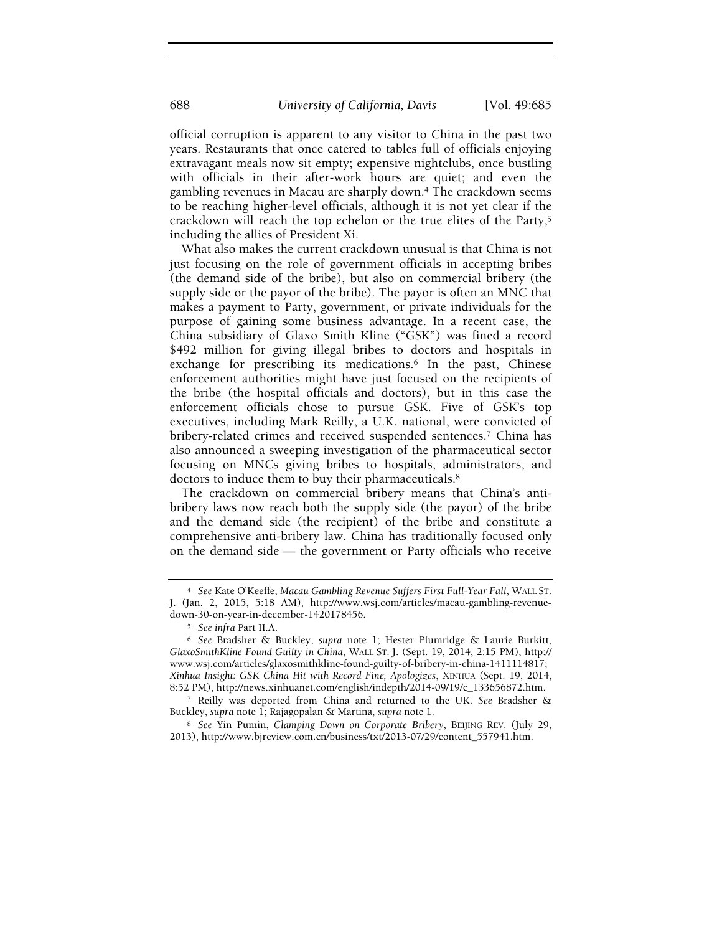official corruption is apparent to any visitor to China in the past two years. Restaurants that once catered to tables full of officials enjoying extravagant meals now sit empty; expensive nightclubs, once bustling with officials in their after-work hours are quiet; and even the gambling revenues in Macau are sharply down.4 The crackdown seems to be reaching higher-level officials, although it is not yet clear if the crackdown will reach the top echelon or the true elites of the Party,<sup>5</sup> including the allies of President Xi.

What also makes the current crackdown unusual is that China is not just focusing on the role of government officials in accepting bribes (the demand side of the bribe), but also on commercial bribery (the supply side or the payor of the bribe). The payor is often an MNC that makes a payment to Party, government, or private individuals for the purpose of gaining some business advantage. In a recent case, the China subsidiary of Glaxo Smith Kline ("GSK") was fined a record \$492 million for giving illegal bribes to doctors and hospitals in exchange for prescribing its medications.<sup>6</sup> In the past, Chinese enforcement authorities might have just focused on the recipients of the bribe (the hospital officials and doctors), but in this case the enforcement officials chose to pursue GSK. Five of GSK's top executives, including Mark Reilly, a U.K. national, were convicted of bribery-related crimes and received suspended sentences.7 China has also announced a sweeping investigation of the pharmaceutical sector focusing on MNCs giving bribes to hospitals, administrators, and doctors to induce them to buy their pharmaceuticals.<sup>8</sup>

The crackdown on commercial bribery means that China's antibribery laws now reach both the supply side (the payor) of the bribe and the demand side (the recipient) of the bribe and constitute a comprehensive anti-bribery law. China has traditionally focused only on the demand side — the government or Party officials who receive

<sup>4</sup> See Kate O'Keeffe, Macau Gambling Revenue Suffers First Full-Year Fall, WALL ST. J. (Jan. 2, 2015, 5:18 AM), http://www.wsj.com/articles/macau-gambling-revenuedown-30-on-year-in-december-1420178456.

<sup>5</sup> See infra Part II.A.

<sup>6</sup> See Bradsher & Buckley, supra note 1; Hester Plumridge & Laurie Burkitt, GlaxoSmithKline Found Guilty in China, WALL ST. J. (Sept. 19, 2014, 2:15 PM), http:// www.wsj.com/articles/glaxosmithkline-found-guilty-of-bribery-in-china-1411114817; Xinhua Insight: GSK China Hit with Record Fine, Apologizes, XINHUA (Sept. 19, 2014, 8:52 PM), http://news.xinhuanet.com/english/indepth/2014-09/19/c\_133656872.htm.

<sup>7</sup> Reilly was deported from China and returned to the UK. See Bradsher & Buckley, supra note 1; Rajagopalan & Martina, supra note 1.

<sup>8</sup> See Yin Pumin, Clamping Down on Corporate Bribery, BEIJING REV. (July 29, 2013), http://www.bjreview.com.cn/business/txt/2013-07/29/content\_557941.htm.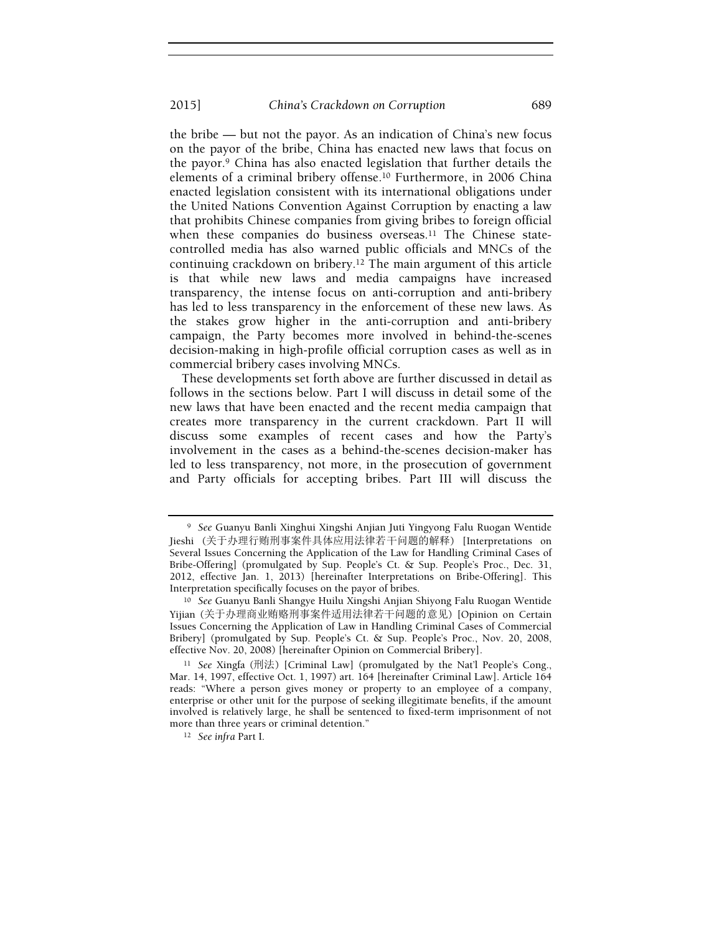the bribe — but not the payor. As an indication of China's new focus on the payor of the bribe, China has enacted new laws that focus on the payor.9 China has also enacted legislation that further details the elements of a criminal bribery offense.10 Furthermore, in 2006 China enacted legislation consistent with its international obligations under the United Nations Convention Against Corruption by enacting a law that prohibits Chinese companies from giving bribes to foreign official when these companies do business overseas.<sup>11</sup> The Chinese statecontrolled media has also warned public officials and MNCs of the continuing crackdown on bribery.12 The main argument of this article is that while new laws and media campaigns have increased transparency, the intense focus on anti-corruption and anti-bribery has led to less transparency in the enforcement of these new laws. As the stakes grow higher in the anti-corruption and anti-bribery campaign, the Party becomes more involved in behind-the-scenes decision-making in high-profile official corruption cases as well as in commercial bribery cases involving MNCs.

These developments set forth above are further discussed in detail as follows in the sections below. Part I will discuss in detail some of the new laws that have been enacted and the recent media campaign that creates more transparency in the current crackdown. Part II will discuss some examples of recent cases and how the Party's involvement in the cases as a behind-the-scenes decision-maker has led to less transparency, not more, in the prosecution of government and Party officials for accepting bribes. Part III will discuss the

<sup>9</sup> See Guanyu Banli Xinghui Xingshi Anjian Juti Yingyong Falu Ruogan Wentide Jieshi (关于办理行贿刑事案件具体应用法律若干问题的解释) [Interpretations on Several Issues Concerning the Application of the Law for Handling Criminal Cases of Bribe-Offering] (promulgated by Sup. People's Ct. & Sup. People's Proc., Dec. 31, 2012, effective Jan. 1, 2013) [hereinafter Interpretations on Bribe-Offering]. This Interpretation specifically focuses on the payor of bribes.

<sup>10</sup> See Guanyu Banli Shangye Huilu Xingshi Anjian Shiyong Falu Ruogan Wentide Yijian (关于办理商业贿赂刑事案件适用法律若干问题的意见) [Opinion on Certain Issues Concerning the Application of Law in Handling Criminal Cases of Commercial Bribery] (promulgated by Sup. People's Ct. & Sup. People's Proc., Nov. 20, 2008, effective Nov. 20, 2008) [hereinafter Opinion on Commercial Bribery].

<sup>11</sup> See Xingfa (刑法) [Criminal Law] (promulgated by the Nat'l People's Cong., Mar. 14, 1997, effective Oct. 1, 1997) art. 164 [hereinafter Criminal Law]. Article 164 reads: "Where a person gives money or property to an employee of a company, enterprise or other unit for the purpose of seeking illegitimate benefits, if the amount involved is relatively large, he shall be sentenced to fixed-term imprisonment of not more than three years or criminal detention."

<sup>12</sup> See infra Part I.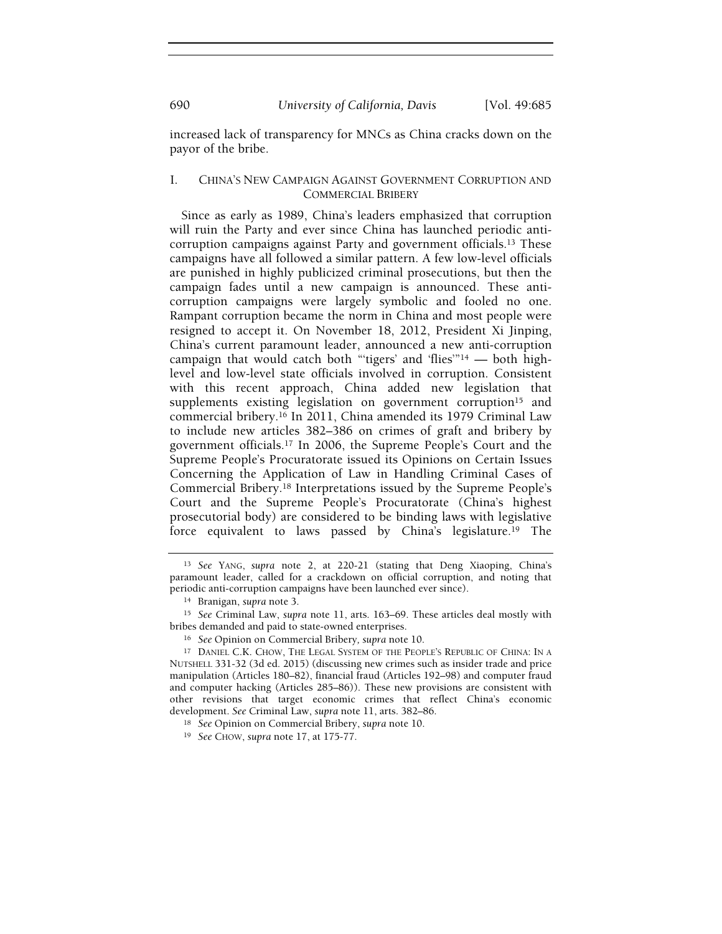increased lack of transparency for MNCs as China cracks down on the payor of the bribe.

#### I. CHINA'S NEW CAMPAIGN AGAINST GOVERNMENT CORRUPTION AND COMMERCIAL BRIBERY

Since as early as 1989, China's leaders emphasized that corruption will ruin the Party and ever since China has launched periodic anticorruption campaigns against Party and government officials.13 These campaigns have all followed a similar pattern. A few low-level officials are punished in highly publicized criminal prosecutions, but then the campaign fades until a new campaign is announced. These anticorruption campaigns were largely symbolic and fooled no one. Rampant corruption became the norm in China and most people were resigned to accept it. On November 18, 2012, President Xi Jinping, China's current paramount leader, announced a new anti-corruption campaign that would catch both "'tigers' and 'flies'"14 — both highlevel and low-level state officials involved in corruption. Consistent with this recent approach, China added new legislation that supplements existing legislation on government corruption<sup>15</sup> and commercial bribery.16 In 2011, China amended its 1979 Criminal Law to include new articles 382–386 on crimes of graft and bribery by government officials.17 In 2006, the Supreme People's Court and the Supreme People's Procuratorate issued its Opinions on Certain Issues Concerning the Application of Law in Handling Criminal Cases of Commercial Bribery.18 Interpretations issued by the Supreme People's Court and the Supreme People's Procuratorate (China's highest prosecutorial body) are considered to be binding laws with legislative force equivalent to laws passed by China's legislature.19 The

<sup>13</sup> See YANG, supra note 2, at 220-21 (stating that Deng Xiaoping, China's paramount leader, called for a crackdown on official corruption, and noting that periodic anti-corruption campaigns have been launched ever since).

<sup>14</sup> Branigan, supra note 3.

<sup>15</sup> See Criminal Law, supra note 11, arts. 163–69. These articles deal mostly with bribes demanded and paid to state-owned enterprises.

<sup>16</sup> See Opinion on Commercial Bribery, supra note 10.

<sup>17</sup> DANIEL C.K. CHOW, THE LEGAL SYSTEM OF THE PEOPLE'S REPUBLIC OF CHINA: IN A NUTSHELL 331-32 (3d ed. 2015) (discussing new crimes such as insider trade and price manipulation (Articles 180–82), financial fraud (Articles 192–98) and computer fraud and computer hacking (Articles 285–86)). These new provisions are consistent with other revisions that target economic crimes that reflect China's economic development. See Criminal Law, supra note 11, arts. 382–86.

<sup>18</sup> See Opinion on Commercial Bribery, supra note 10.

<sup>19</sup> See CHOW, supra note 17, at 175-77.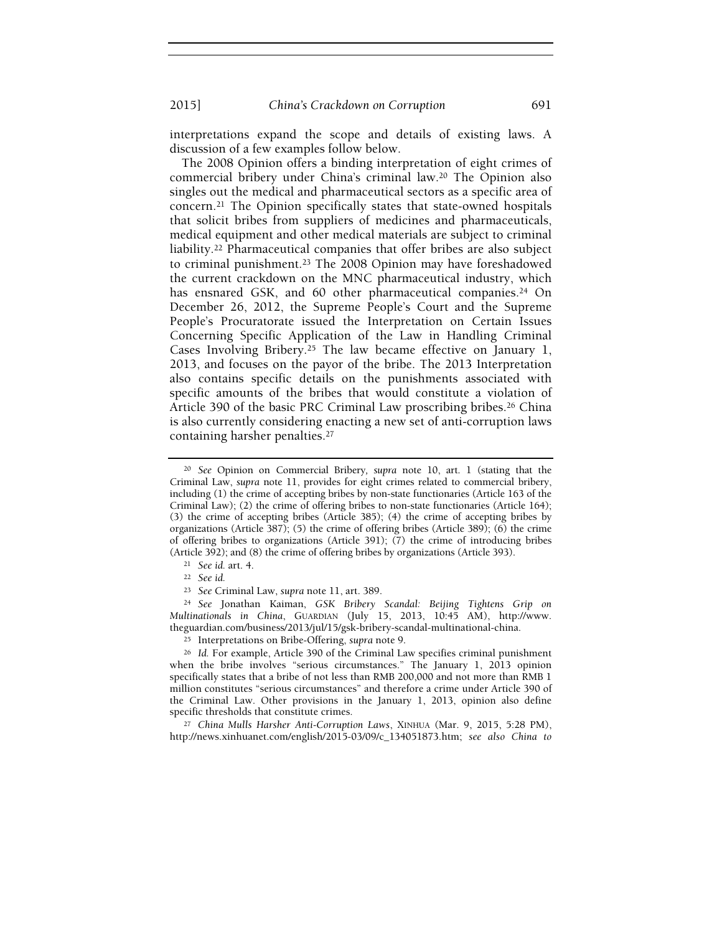2015] China's Crackdown on Corruption 691

interpretations expand the scope and details of existing laws. A discussion of a few examples follow below.

The 2008 Opinion offers a binding interpretation of eight crimes of commercial bribery under China's criminal law.20 The Opinion also singles out the medical and pharmaceutical sectors as a specific area of concern.21 The Opinion specifically states that state-owned hospitals that solicit bribes from suppliers of medicines and pharmaceuticals, medical equipment and other medical materials are subject to criminal liability.22 Pharmaceutical companies that offer bribes are also subject to criminal punishment.23 The 2008 Opinion may have foreshadowed the current crackdown on the MNC pharmaceutical industry, which has ensnared GSK, and 60 other pharmaceutical companies.<sup>24</sup> On December 26, 2012, the Supreme People's Court and the Supreme People's Procuratorate issued the Interpretation on Certain Issues Concerning Specific Application of the Law in Handling Criminal Cases Involving Bribery.25 The law became effective on January 1, 2013, and focuses on the payor of the bribe. The 2013 Interpretation also contains specific details on the punishments associated with specific amounts of the bribes that would constitute a violation of Article 390 of the basic PRC Criminal Law proscribing bribes.<sup>26</sup> China is also currently considering enacting a new set of anti-corruption laws containing harsher penalties.<sup>27</sup>

<sup>24</sup> See Jonathan Kaiman, GSK Bribery Scandal: Beijing Tightens Grip on Multinationals in China, GUARDIAN (July 15, 2013, 10:45 AM), http://www. theguardian.com/business/2013/jul/15/gsk-bribery-scandal-multinational-china.

<sup>27</sup> China Mulls Harsher Anti-Corruption Laws, XINHUA (Mar. 9, 2015, 5:28 PM), http://news.xinhuanet.com/english/2015-03/09/c\_134051873.htm; see also China to

<sup>&</sup>lt;sup>20</sup> See Opinion on Commercial Bribery, supra note 10, art. 1 (stating that the Criminal Law, supra note 11, provides for eight crimes related to commercial bribery, including (1) the crime of accepting bribes by non-state functionaries (Article 163 of the Criminal Law); (2) the crime of offering bribes to non-state functionaries (Article 164); (3) the crime of accepting bribes (Article 385); (4) the crime of accepting bribes by organizations (Article 387); (5) the crime of offering bribes (Article 389); (6) the crime of offering bribes to organizations (Article 391); (7) the crime of introducing bribes (Article 392); and (8) the crime of offering bribes by organizations (Article 393).

<sup>21</sup> See id. art. 4.

<sup>22</sup> See id.

<sup>23</sup> See Criminal Law, supra note 11, art. 389.

<sup>25</sup> Interpretations on Bribe-Offering, supra note 9.

<sup>26</sup> Id. For example, Article 390 of the Criminal Law specifies criminal punishment when the bribe involves "serious circumstances." The January 1, 2013 opinion specifically states that a bribe of not less than RMB 200,000 and not more than RMB 1 million constitutes "serious circumstances" and therefore a crime under Article 390 of the Criminal Law. Other provisions in the January 1, 2013, opinion also define specific thresholds that constitute crimes.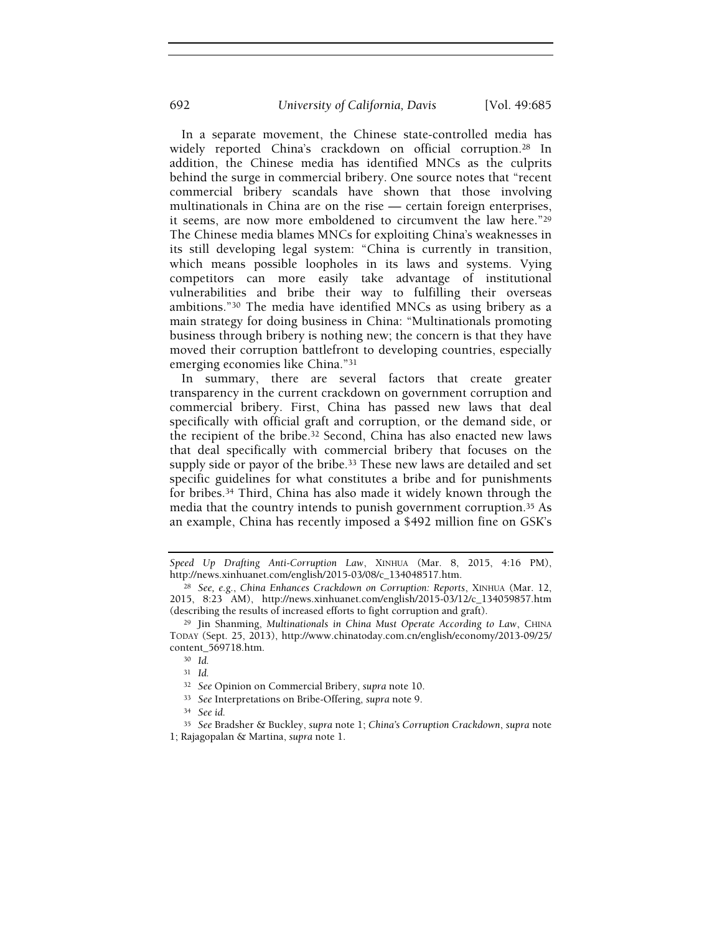In a separate movement, the Chinese state-controlled media has widely reported China's crackdown on official corruption.<sup>28</sup> In addition, the Chinese media has identified MNCs as the culprits behind the surge in commercial bribery. One source notes that "recent commercial bribery scandals have shown that those involving multinationals in China are on the rise — certain foreign enterprises, it seems, are now more emboldened to circumvent the law here."<sup>29</sup> The Chinese media blames MNCs for exploiting China's weaknesses in its still developing legal system: "China is currently in transition, which means possible loopholes in its laws and systems. Vying competitors can more easily take advantage of institutional vulnerabilities and bribe their way to fulfilling their overseas ambitions."30 The media have identified MNCs as using bribery as a main strategy for doing business in China: "Multinationals promoting business through bribery is nothing new; the concern is that they have moved their corruption battlefront to developing countries, especially emerging economies like China."<sup>31</sup>

In summary, there are several factors that create greater transparency in the current crackdown on government corruption and commercial bribery. First, China has passed new laws that deal specifically with official graft and corruption, or the demand side, or the recipient of the bribe.32 Second, China has also enacted new laws that deal specifically with commercial bribery that focuses on the supply side or payor of the bribe.33 These new laws are detailed and set specific guidelines for what constitutes a bribe and for punishments for bribes.34 Third, China has also made it widely known through the media that the country intends to punish government corruption.35 As an example, China has recently imposed a \$492 million fine on GSK's

Speed Up Drafting Anti-Corruption Law, XINHUA (Mar. 8, 2015, 4:16 PM), http://news.xinhuanet.com/english/2015-03/08/c\_134048517.htm.

<sup>28</sup> See, e.g., China Enhances Crackdown on Corruption: Reports, XINHUA (Mar. 12, 2015, 8:23 AM), http://news.xinhuanet.com/english/2015-03/12/c\_134059857.htm (describing the results of increased efforts to fight corruption and graft).

<sup>&</sup>lt;sup>29</sup> Jin Shanming, Multinationals in China Must Operate According to Law, CHINA TODAY (Sept. 25, 2013), http://www.chinatoday.com.cn/english/economy/2013-09/25/ content\_569718.htm.

<sup>30</sup> Id.

<sup>31</sup> Id.

<sup>32</sup> See Opinion on Commercial Bribery, supra note 10.

<sup>33</sup> See Interpretations on Bribe-Offering, supra note 9.

<sup>34</sup> See id.

<sup>35</sup> See Bradsher & Buckley, supra note 1; China's Corruption Crackdown, supra note 1; Rajagopalan & Martina, supra note 1.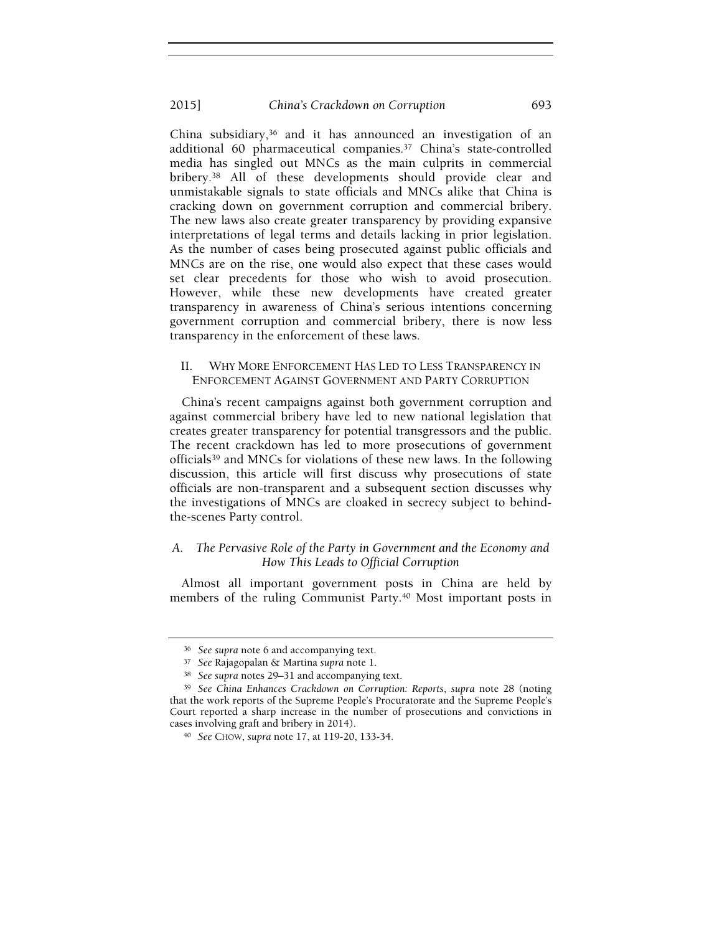#### 2015] China's Crackdown on Corruption 693

China subsidiary,36 and it has announced an investigation of an additional 60 pharmaceutical companies.37 China's state-controlled media has singled out MNCs as the main culprits in commercial bribery.38 All of these developments should provide clear and unmistakable signals to state officials and MNCs alike that China is cracking down on government corruption and commercial bribery. The new laws also create greater transparency by providing expansive interpretations of legal terms and details lacking in prior legislation. As the number of cases being prosecuted against public officials and MNCs are on the rise, one would also expect that these cases would set clear precedents for those who wish to avoid prosecution. However, while these new developments have created greater transparency in awareness of China's serious intentions concerning government corruption and commercial bribery, there is now less transparency in the enforcement of these laws.

#### II. WHY MORE ENFORCEMENT HAS LED TO LESS TRANSPARENCY IN ENFORCEMENT AGAINST GOVERNMENT AND PARTY CORRUPTION

China's recent campaigns against both government corruption and against commercial bribery have led to new national legislation that creates greater transparency for potential transgressors and the public. The recent crackdown has led to more prosecutions of government officials39 and MNCs for violations of these new laws. In the following discussion, this article will first discuss why prosecutions of state officials are non-transparent and a subsequent section discusses why the investigations of MNCs are cloaked in secrecy subject to behindthe-scenes Party control.

### A. The Pervasive Role of the Party in Government and the Economy and How This Leads to Official Corruption

Almost all important government posts in China are held by members of the ruling Communist Party.<sup>40</sup> Most important posts in

<sup>36</sup> See supra note 6 and accompanying text.

<sup>37</sup> See Rajagopalan & Martina supra note 1.

<sup>38</sup> See supra notes 29–31 and accompanying text.

<sup>39</sup> See China Enhances Crackdown on Corruption: Reports, supra note 28 (noting that the work reports of the Supreme People's Procuratorate and the Supreme People's Court reported a sharp increase in the number of prosecutions and convictions in cases involving graft and bribery in 2014).

<sup>40</sup> See CHOW, supra note 17, at 119-20, 133-34.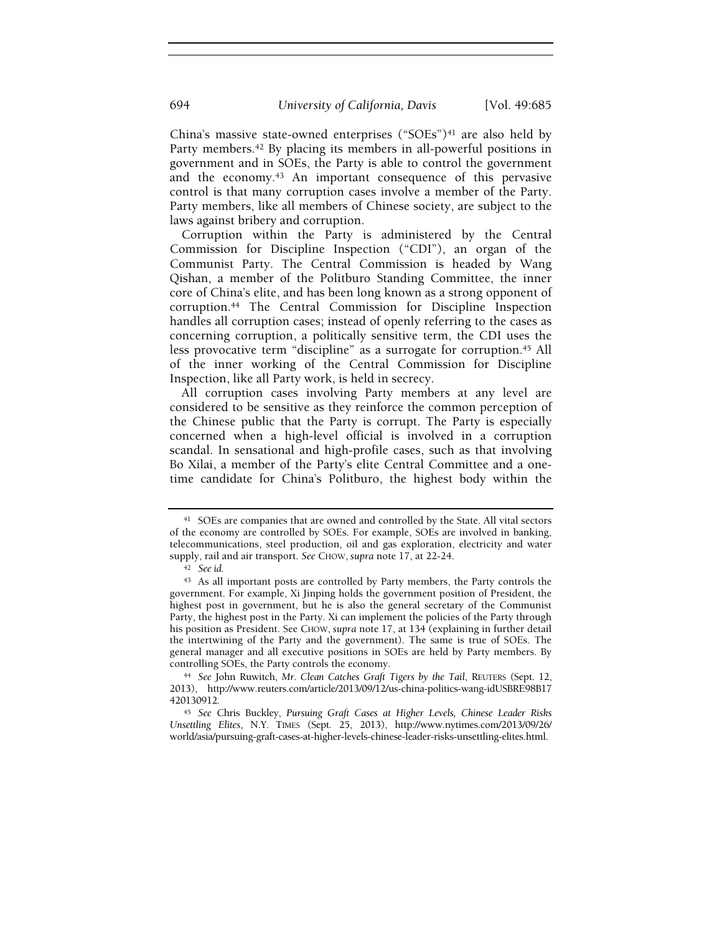China's massive state-owned enterprises ("SOEs")<sup>41</sup> are also held by Party members.<sup>42</sup> By placing its members in all-powerful positions in government and in SOEs, the Party is able to control the government and the economy.43 An important consequence of this pervasive control is that many corruption cases involve a member of the Party. Party members, like all members of Chinese society, are subject to the laws against bribery and corruption.

Corruption within the Party is administered by the Central Commission for Discipline Inspection ("CDI"), an organ of the Communist Party. The Central Commission is headed by Wang Qishan, a member of the Politburo Standing Committee, the inner core of China's elite, and has been long known as a strong opponent of corruption.44 The Central Commission for Discipline Inspection handles all corruption cases; instead of openly referring to the cases as concerning corruption, a politically sensitive term, the CDI uses the less provocative term "discipline" as a surrogate for corruption.<sup>45</sup> All of the inner working of the Central Commission for Discipline Inspection, like all Party work, is held in secrecy.

All corruption cases involving Party members at any level are considered to be sensitive as they reinforce the common perception of the Chinese public that the Party is corrupt. The Party is especially concerned when a high-level official is involved in a corruption scandal. In sensational and high-profile cases, such as that involving Bo Xilai, a member of the Party's elite Central Committee and a onetime candidate for China's Politburo, the highest body within the

<sup>41</sup> SOEs are companies that are owned and controlled by the State. All vital sectors of the economy are controlled by SOEs. For example, SOEs are involved in banking, telecommunications, steel production, oil and gas exploration, electricity and water supply, rail and air transport. See CHOW, supra note 17, at 22-24.

<sup>42</sup> See id.

<sup>43</sup> As all important posts are controlled by Party members, the Party controls the government. For example, Xi Jinping holds the government position of President, the highest post in government, but he is also the general secretary of the Communist Party, the highest post in the Party. Xi can implement the policies of the Party through his position as President. See CHOW, supra note 17, at 134 (explaining in further detail the intertwining of the Party and the government). The same is true of SOEs. The general manager and all executive positions in SOEs are held by Party members. By controlling SOEs, the Party controls the economy.

<sup>44</sup> See John Ruwitch, Mr. Clean Catches Graft Tigers by the Tail, REUTERS (Sept. 12, 2013), http://www.reuters.com/article/2013/09/12/us-china-politics-wang-idUSBRE98B17 420130912.

<sup>45</sup> See Chris Buckley, Pursuing Graft Cases at Higher Levels, Chinese Leader Risks Unsettling Elites, N.Y. TIMES (Sept. 25, 2013), http://www.nytimes.com/2013/09/26/ world/asia/pursuing-graft-cases-at-higher-levels-chinese-leader-risks-unsettling-elites.html.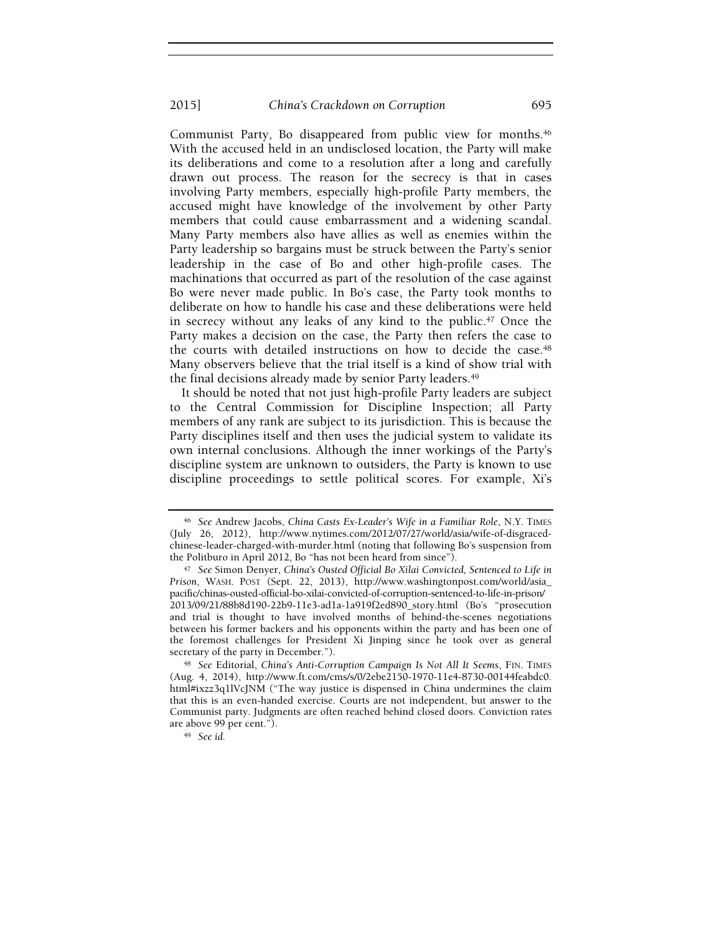Communist Party, Bo disappeared from public view for months.<sup>46</sup> With the accused held in an undisclosed location, the Party will make its deliberations and come to a resolution after a long and carefully drawn out process. The reason for the secrecy is that in cases involving Party members, especially high-profile Party members, the accused might have knowledge of the involvement by other Party members that could cause embarrassment and a widening scandal. Many Party members also have allies as well as enemies within the Party leadership so bargains must be struck between the Party's senior leadership in the case of Bo and other high-profile cases. The machinations that occurred as part of the resolution of the case against Bo were never made public. In Bo's case, the Party took months to deliberate on how to handle his case and these deliberations were held in secrecy without any leaks of any kind to the public.47 Once the Party makes a decision on the case, the Party then refers the case to the courts with detailed instructions on how to decide the case.<sup>48</sup> Many observers believe that the trial itself is a kind of show trial with the final decisions already made by senior Party leaders.<sup>49</sup>

It should be noted that not just high-profile Party leaders are subject to the Central Commission for Discipline Inspection; all Party members of any rank are subject to its jurisdiction. This is because the Party disciplines itself and then uses the judicial system to validate its own internal conclusions. Although the inner workings of the Party's discipline system are unknown to outsiders, the Party is known to use discipline proceedings to settle political scores. For example, Xi's

<sup>&</sup>lt;sup>46</sup> See Andrew Jacobs, China Casts Ex-Leader's Wife in a Familiar Role, N.Y. TIMES (July 26, 2012), http://www.nytimes.com/2012/07/27/world/asia/wife-of-disgracedchinese-leader-charged-with-murder.html (noting that following Bo's suspension from the Politburo in April 2012, Bo "has not been heard from since").

<sup>47</sup> See Simon Denyer, China's Ousted Official Bo Xilai Convicted, Sentenced to Life in Prison, WASH. POST (Sept. 22, 2013), http://www.washingtonpost.com/world/asia\_ pacific/chinas-ousted-official-bo-xilai-convicted-of-corruption-sentenced-to-life-in-prison/ 2013/09/21/88b8d190-22b9-11e3-ad1a-1a919f2ed890\_story.html (Bo's "prosecution and trial is thought to have involved months of behind-the-scenes negotiations between his former backers and his opponents within the party and has been one of the foremost challenges for President Xi Jinping since he took over as general secretary of the party in December.").

<sup>48</sup> See Editorial, China's Anti-Corruption Campaign Is Not All It Seems, FIN. TIMES (Aug. 4, 2014), http://www.ft.com/cms/s/0/2ebe2150-1970-11e4-8730-00144feabdc0. html#ixzz3q1lVcJNM ("The way justice is dispensed in China undermines the claim that this is an even-handed exercise. Courts are not independent, but answer to the Communist party. Judgments are often reached behind closed doors. Conviction rates are above 99 per cent.").

<sup>49</sup> See id.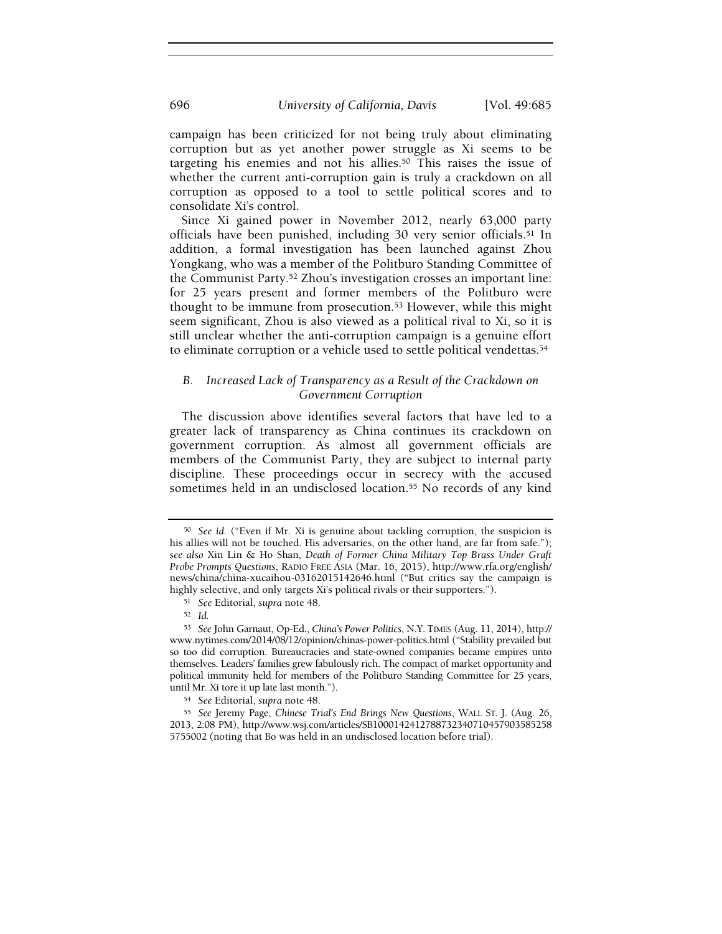campaign has been criticized for not being truly about eliminating corruption but as yet another power struggle as Xi seems to be targeting his enemies and not his allies.50 This raises the issue of whether the current anti-corruption gain is truly a crackdown on all corruption as opposed to a tool to settle political scores and to consolidate Xi's control.

Since Xi gained power in November 2012, nearly 63,000 party officials have been punished, including 30 very senior officials.51 In addition, a formal investigation has been launched against Zhou Yongkang, who was a member of the Politburo Standing Committee of the Communist Party.52 Zhou's investigation crosses an important line: for 25 years present and former members of the Politburo were thought to be immune from prosecution.53 However, while this might seem significant, Zhou is also viewed as a political rival to Xi, so it is still unclear whether the anti-corruption campaign is a genuine effort to eliminate corruption or a vehicle used to settle political vendettas.<sup>54</sup>

## B. Increased Lack of Transparency as a Result of the Crackdown on Government Corruption

The discussion above identifies several factors that have led to a greater lack of transparency as China continues its crackdown on government corruption. As almost all government officials are members of the Communist Party, they are subject to internal party discipline. These proceedings occur in secrecy with the accused sometimes held in an undisclosed location.<sup>55</sup> No records of any kind

<sup>50</sup> See id. ("Even if Mr. Xi is genuine about tackling corruption, the suspicion is his allies will not be touched. His adversaries, on the other hand, are far from safe."); see also Xin Lin & Ho Shan, Death of Former China Military Top Brass Under Graft Probe Prompts Questions, RADIO FREE ASIA (Mar. 16, 2015), http://www.rfa.org/english/ news/china/china-xucaihou-03162015142646.html ("But critics say the campaign is highly selective, and only targets Xi's political rivals or their supporters.").

<sup>51</sup> See Editorial, supra note 48.

<sup>52</sup> Id.

<sup>53</sup> See John Garnaut, Op-Ed., China's Power Politics, N.Y. TIMES (Aug. 11, 2014), http:// www.nytimes.com/2014/08/12/opinion/chinas-power-politics.html ("Stability prevailed but so too did corruption. Bureaucracies and state-owned companies became empires unto themselves. Leaders' families grew fabulously rich. The compact of market opportunity and political immunity held for members of the Politburo Standing Committee for 25 years, until Mr. Xi tore it up late last month.").

<sup>54</sup> See Editorial, supra note 48.

<sup>55</sup> See Jeremy Page, Chinese Trial's End Brings New Questions, WALL ST. J. (Aug. 26, 2013, 2:08 PM), http://www.wsj.com/articles/SB1000142412788732340710457903585258 5755002 (noting that Bo was held in an undisclosed location before trial).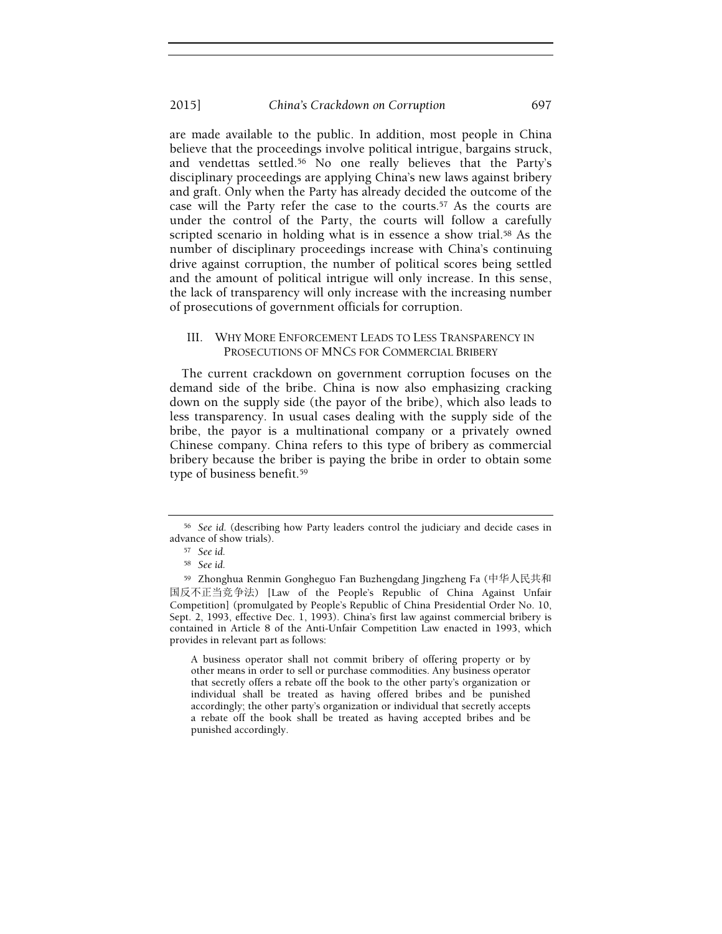are made available to the public. In addition, most people in China believe that the proceedings involve political intrigue, bargains struck, and vendettas settled.56 No one really believes that the Party's disciplinary proceedings are applying China's new laws against bribery and graft. Only when the Party has already decided the outcome of the case will the Party refer the case to the courts.57 As the courts are under the control of the Party, the courts will follow a carefully scripted scenario in holding what is in essence a show trial.<sup>58</sup> As the number of disciplinary proceedings increase with China's continuing drive against corruption, the number of political scores being settled and the amount of political intrigue will only increase. In this sense, the lack of transparency will only increase with the increasing number of prosecutions of government officials for corruption.

#### III. WHY MORE ENFORCEMENT LEADS TO LESS TRANSPARENCY IN PROSECUTIONS OF MNCS FOR COMMERCIAL BRIBERY

The current crackdown on government corruption focuses on the demand side of the bribe. China is now also emphasizing cracking down on the supply side (the payor of the bribe), which also leads to less transparency. In usual cases dealing with the supply side of the bribe, the payor is a multinational company or a privately owned Chinese company. China refers to this type of bribery as commercial bribery because the briber is paying the bribe in order to obtain some type of business benefit.<sup>59</sup>

A business operator shall not commit bribery of offering property or by other means in order to sell or purchase commodities. Any business operator that secretly offers a rebate off the book to the other party's organization or individual shall be treated as having offered bribes and be punished accordingly; the other party's organization or individual that secretly accepts a rebate off the book shall be treated as having accepted bribes and be punished accordingly.

<sup>56</sup> See id. (describing how Party leaders control the judiciary and decide cases in advance of show trials).

<sup>57</sup> See id.

<sup>58</sup> See id.

<sup>59</sup> Zhonghua Renmin Gongheguo Fan Buzhengdang Jingzheng Fa (中华人民共和 国反不正当竞争法) [Law of the People's Republic of China Against Unfair Competition] (promulgated by People's Republic of China Presidential Order No. 10, Sept. 2, 1993, effective Dec. 1, 1993). China's first law against commercial bribery is contained in Article 8 of the Anti-Unfair Competition Law enacted in 1993, which provides in relevant part as follows: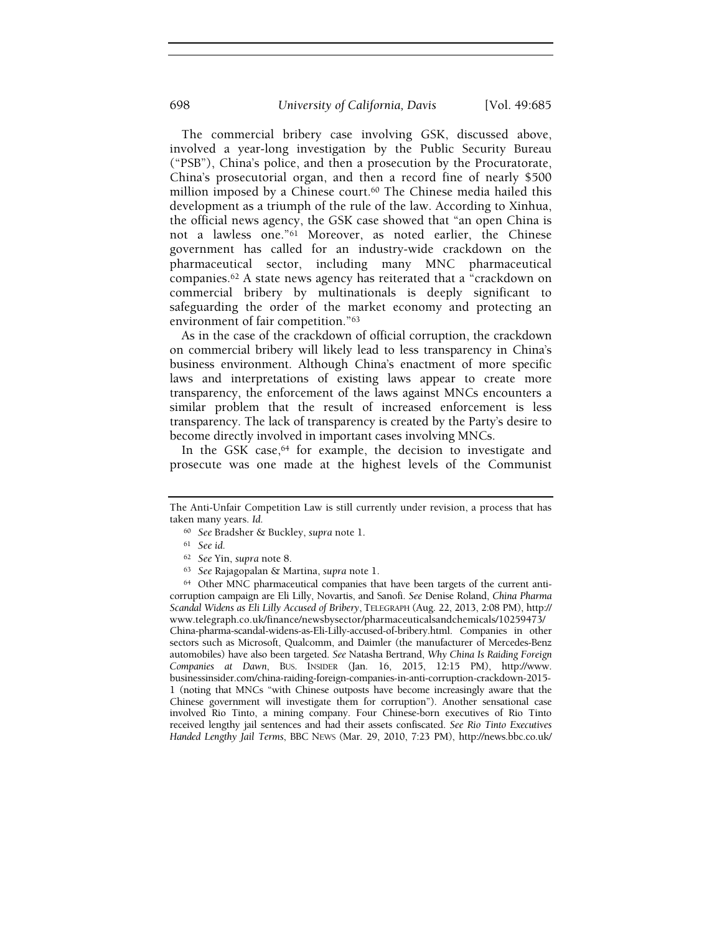The commercial bribery case involving GSK, discussed above, involved a year-long investigation by the Public Security Bureau ("PSB"), China's police, and then a prosecution by the Procuratorate, China's prosecutorial organ, and then a record fine of nearly \$500 million imposed by a Chinese court.<sup>60</sup> The Chinese media hailed this development as a triumph of the rule of the law. According to Xinhua, the official news agency, the GSK case showed that "an open China is not a lawless one."61 Moreover, as noted earlier, the Chinese government has called for an industry-wide crackdown on the pharmaceutical sector, including many MNC pharmaceutical companies.62 A state news agency has reiterated that a "crackdown on commercial bribery by multinationals is deeply significant to safeguarding the order of the market economy and protecting an environment of fair competition."<sup>63</sup>

As in the case of the crackdown of official corruption, the crackdown on commercial bribery will likely lead to less transparency in China's business environment. Although China's enactment of more specific laws and interpretations of existing laws appear to create more transparency, the enforcement of the laws against MNCs encounters a similar problem that the result of increased enforcement is less transparency. The lack of transparency is created by the Party's desire to become directly involved in important cases involving MNCs.

In the GSK case,<sup>64</sup> for example, the decision to investigate and prosecute was one made at the highest levels of the Communist

<sup>60</sup> See Bradsher & Buckley, supra note 1.

<sup>63</sup> See Rajagopalan & Martina, supra note 1.

<sup>64</sup> Other MNC pharmaceutical companies that have been targets of the current anticorruption campaign are Eli Lilly, Novartis, and Sanofi. See Denise Roland, China Pharma Scandal Widens as Eli Lilly Accused of Bribery, TELEGRAPH (Aug. 22, 2013, 2:08 PM), http:// www.telegraph.co.uk/finance/newsbysector/pharmaceuticalsandchemicals/10259473/ China-pharma-scandal-widens-as-Eli-Lilly-accused-of-bribery.html. Companies in other sectors such as Microsoft, Qualcomm, and Daimler (the manufacturer of Mercedes-Benz automobiles) have also been targeted. See Natasha Bertrand, Why China Is Raiding Foreign Companies at Dawn, BUS. INSIDER (Jan. 16, 2015, 12:15 PM), http://www. businessinsider.com/china-raiding-foreign-companies-in-anti-corruption-crackdown-2015- 1 (noting that MNCs "with Chinese outposts have become increasingly aware that the Chinese government will investigate them for corruption"). Another sensational case involved Rio Tinto, a mining company. Four Chinese-born executives of Rio Tinto received lengthy jail sentences and had their assets confiscated. See Rio Tinto Executives Handed Lengthy Jail Terms, BBC NEWS (Mar. 29, 2010, 7:23 PM), http://news.bbc.co.uk/

The Anti-Unfair Competition Law is still currently under revision, a process that has taken many years. Id.

<sup>61</sup> See id.

<sup>62</sup> See Yin, supra note 8.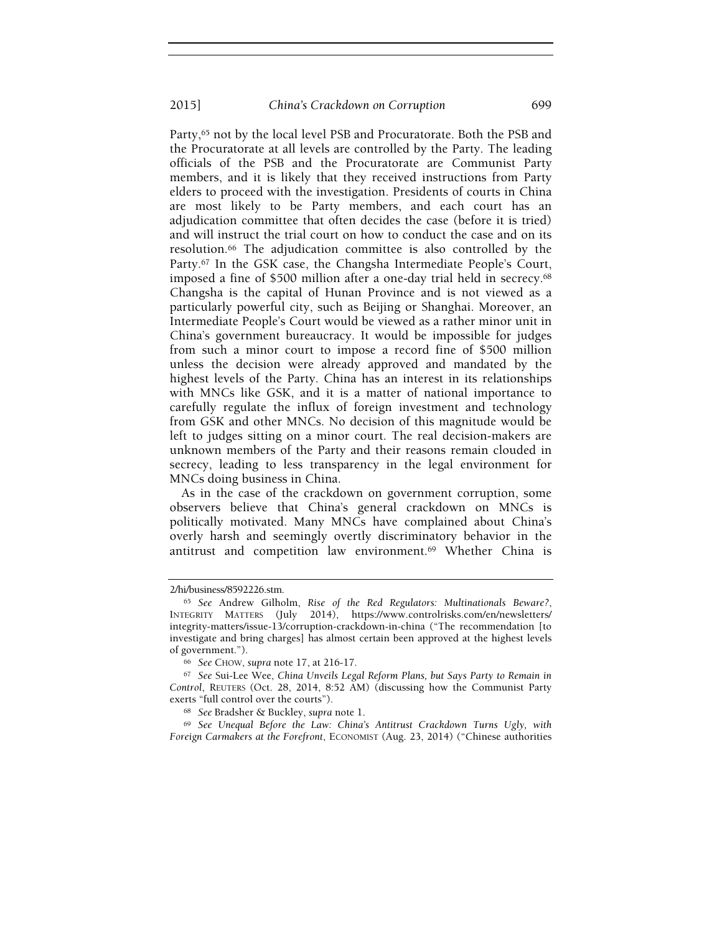Party,<sup>65</sup> not by the local level PSB and Procuratorate. Both the PSB and the Procuratorate at all levels are controlled by the Party. The leading officials of the PSB and the Procuratorate are Communist Party members, and it is likely that they received instructions from Party elders to proceed with the investigation. Presidents of courts in China are most likely to be Party members, and each court has an adjudication committee that often decides the case (before it is tried) and will instruct the trial court on how to conduct the case and on its resolution.66 The adjudication committee is also controlled by the Party.67 In the GSK case, the Changsha Intermediate People's Court, imposed a fine of \$500 million after a one-day trial held in secrecy.<sup>68</sup> Changsha is the capital of Hunan Province and is not viewed as a particularly powerful city, such as Beijing or Shanghai. Moreover, an Intermediate People's Court would be viewed as a rather minor unit in China's government bureaucracy. It would be impossible for judges from such a minor court to impose a record fine of \$500 million unless the decision were already approved and mandated by the highest levels of the Party. China has an interest in its relationships with MNCs like GSK, and it is a matter of national importance to carefully regulate the influx of foreign investment and technology from GSK and other MNCs. No decision of this magnitude would be left to judges sitting on a minor court. The real decision-makers are unknown members of the Party and their reasons remain clouded in secrecy, leading to less transparency in the legal environment for MNCs doing business in China.

As in the case of the crackdown on government corruption, some observers believe that China's general crackdown on MNCs is politically motivated. Many MNCs have complained about China's overly harsh and seemingly overtly discriminatory behavior in the antitrust and competition law environment.69 Whether China is

<sup>2/</sup>hi/business/8592226.stm.

<sup>65</sup> See Andrew Gilholm, Rise of the Red Regulators: Multinationals Beware?, INTEGRITY MATTERS (July 2014), https://www.controlrisks.com/en/newsletters/ integrity-matters/issue-13/corruption-crackdown-in-china ("The recommendation [to investigate and bring charges] has almost certain been approved at the highest levels of government.").

<sup>66</sup> See CHOW, supra note 17, at 216-17.

<sup>67</sup> See Sui-Lee Wee, China Unveils Legal Reform Plans, but Says Party to Remain in Control, REUTERS (Oct. 28, 2014, 8:52 AM) (discussing how the Communist Party exerts "full control over the courts").

<sup>68</sup> See Bradsher & Buckley, supra note 1.

<sup>69</sup> See Unequal Before the Law: China's Antitrust Crackdown Turns Ugly, with Foreign Carmakers at the Forefront, ECONOMIST (Aug. 23, 2014) ("Chinese authorities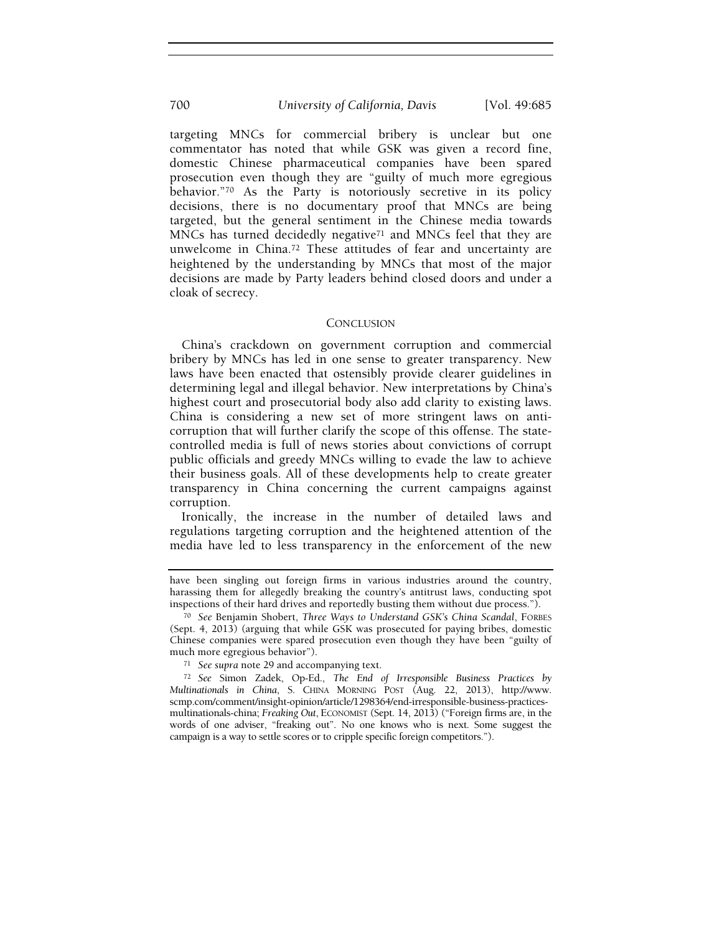targeting MNCs for commercial bribery is unclear but one commentator has noted that while GSK was given a record fine, domestic Chinese pharmaceutical companies have been spared prosecution even though they are "guilty of much more egregious behavior."70 As the Party is notoriously secretive in its policy decisions, there is no documentary proof that MNCs are being targeted, but the general sentiment in the Chinese media towards MNCs has turned decidedly negative71 and MNCs feel that they are unwelcome in China.72 These attitudes of fear and uncertainty are heightened by the understanding by MNCs that most of the major decisions are made by Party leaders behind closed doors and under a cloak of secrecy.

#### **CONCLUSION**

China's crackdown on government corruption and commercial bribery by MNCs has led in one sense to greater transparency. New laws have been enacted that ostensibly provide clearer guidelines in determining legal and illegal behavior. New interpretations by China's highest court and prosecutorial body also add clarity to existing laws. China is considering a new set of more stringent laws on anticorruption that will further clarify the scope of this offense. The statecontrolled media is full of news stories about convictions of corrupt public officials and greedy MNCs willing to evade the law to achieve their business goals. All of these developments help to create greater transparency in China concerning the current campaigns against corruption.

Ironically, the increase in the number of detailed laws and regulations targeting corruption and the heightened attention of the media have led to less transparency in the enforcement of the new

have been singling out foreign firms in various industries around the country, harassing them for allegedly breaking the country's antitrust laws, conducting spot inspections of their hard drives and reportedly busting them without due process.").

<sup>70</sup> See Benjamin Shobert, Three Ways to Understand GSK's China Scandal, FORBES (Sept. 4, 2013) (arguing that while GSK was prosecuted for paying bribes, domestic Chinese companies were spared prosecution even though they have been "guilty of much more egregious behavior").

<sup>71</sup> See supra note 29 and accompanying text.

<sup>72</sup> See Simon Zadek, Op-Ed., The End of Irresponsible Business Practices by Multinationals in China, S. CHINA MORNING POST (Aug. 22, 2013), http://www. scmp.com/comment/insight-opinion/article/1298364/end-irresponsible-business-practicesmultinationals-china; Freaking Out, ECONOMIST (Sept. 14, 2013) ("Foreign firms are, in the words of one adviser, "freaking out". No one knows who is next. Some suggest the campaign is a way to settle scores or to cripple specific foreign competitors.").